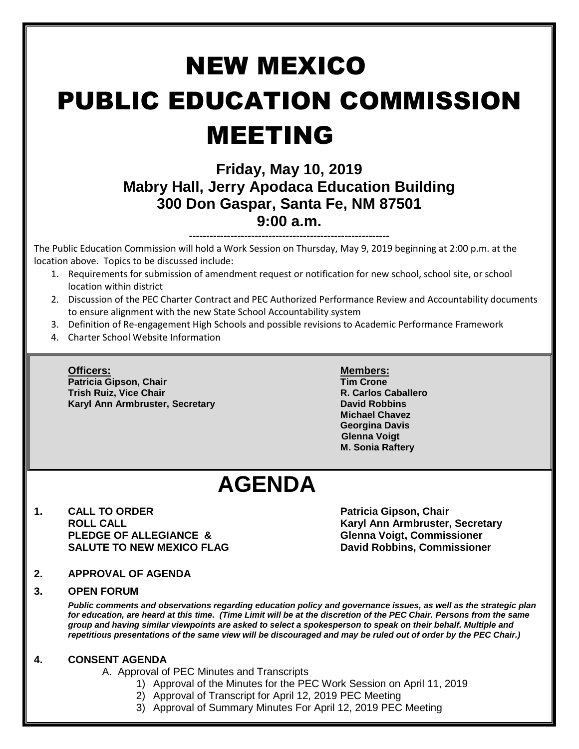# NEW MEXICO PUBLIC EDUCATION COMMISSION MEETING

### **Friday, May 10, 2019 Mabry Hall, Jerry Apodaca Education Building 300 Don Gaspar, Santa Fe, NM 87501 9:00 a.m.**

**----------------------------------------------------------**

The Public Education Commission will hold a Work Session on Thursday, May 9, 2019 beginning at 2:00 p.m. at the location above. Topics to be discussed include:

- 1. Requirements for submission of amendment request or notification for new school, school site, or school location within district
- 2. Discussion of the PEC Charter Contract and PEC Authorized Performance Review and Accountability documents to ensure alignment with the new State School Accountability system
- 3. Definition of Re-engagement High Schools and possible revisions to Academic Performance Framework
- 4. Charter School Website Information

**Patricia Gipson, Chair Tim Crone Trish Ruiz, Vice Chair R. Carlos Caballero Karyl Ann Armbruster, Secretary <b>David Robbins David Robbins** 

#### **Officers: Members:**

**Michael Chavez Georgina Davis Glenna Voigt M. Sonia Raftery**

## **AGENDA**

**1. CALL TO ORDER Patricia Gipson, Chair PLEDGE OF ALLEGIANCE & Glenna Voigt, Commissioner SALUTE TO NEW MEXICO FLAG David Robbins, Commissioner**

**ROLL CALL Karyl Ann Armbruster, Secretary**

**2. APPROVAL OF AGENDA**

#### **3. OPEN FORUM**

*Public comments and observations regarding education policy and governance issues, as well as the strategic plan for education, are heard at this time. (Time Limit will be at the discretion of the PEC Chair. Persons from the same group and having similar viewpoints are asked to select a spokesperson to speak on their behalf. Multiple and repetitious presentations of the same view will be discouraged and may be ruled out of order by the PEC Chair.)*

#### **4. CONSENT AGENDA**

A. Approval of PEC Minutes and Transcripts

- 1) Approval of the Minutes for the PEC Work Session on April 11, 2019
- 2) Approval of Transcript for April 12, 2019 PEC Meeting
- 3) Approval of Summary Minutes For April 12, 2019 PEC Meeting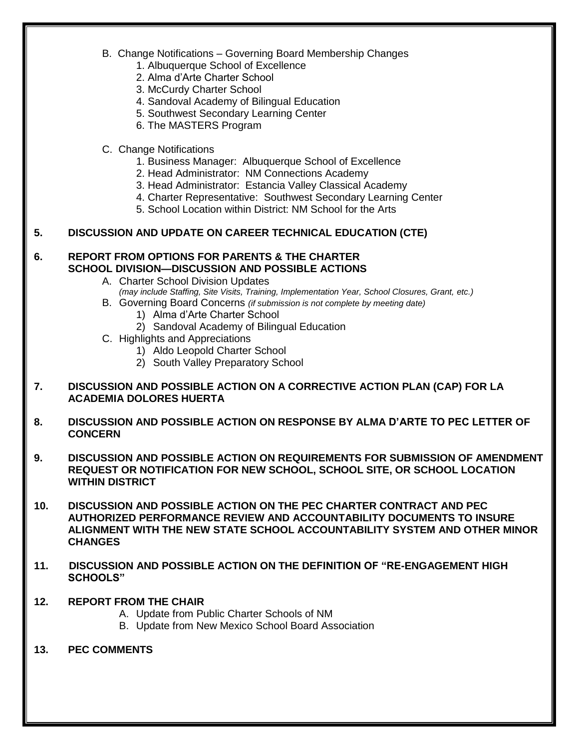- B. Change Notifications Governing Board Membership Changes
	- 1. Albuquerque School of Excellence
	- 2. Alma d'Arte Charter School
	- 3. McCurdy Charter School
	- 4. Sandoval Academy of Bilingual Education
	- 5. Southwest Secondary Learning Center
	- 6. The MASTERS Program
- C. Change Notifications
	- 1. Business Manager: Albuquerque School of Excellence
	- 2. Head Administrator: NM Connections Academy
	- 3. Head Administrator: Estancia Valley Classical Academy
	- 4. Charter Representative: Southwest Secondary Learning Center
	- 5. School Location within District: NM School for the Arts

#### **5. DISCUSSION AND UPDATE ON CAREER TECHNICAL EDUCATION (CTE)**

#### **6. REPORT FROM OPTIONS FOR PARENTS & THE CHARTER SCHOOL DIVISION—DISCUSSION AND POSSIBLE ACTIONS**

- A. Charter School Division Updates *(may include Staffing, Site Visits, Training, Implementation Year, School Closures, Grant, etc.)*
- B. Governing Board Concerns *(if submission is not complete by meeting date)*
	- 1) Alma d'Arte Charter School
	- 2) Sandoval Academy of Bilingual Education
- C. Highlights and Appreciations
	- 1) Aldo Leopold Charter School
	- 2) South Valley Preparatory School

#### **7. DISCUSSION AND POSSIBLE ACTION ON A CORRECTIVE ACTION PLAN (CAP) FOR LA ACADEMIA DOLORES HUERTA**

- **8. DISCUSSION AND POSSIBLE ACTION ON RESPONSE BY ALMA D'ARTE TO PEC LETTER OF CONCERN**
- **9. DISCUSSION AND POSSIBLE ACTION ON REQUIREMENTS FOR SUBMISSION OF AMENDMENT REQUEST OR NOTIFICATION FOR NEW SCHOOL, SCHOOL SITE, OR SCHOOL LOCATION WITHIN DISTRICT**
- **10. DISCUSSION AND POSSIBLE ACTION ON THE PEC CHARTER CONTRACT AND PEC AUTHORIZED PERFORMANCE REVIEW AND ACCOUNTABILITY DOCUMENTS TO INSURE ALIGNMENT WITH THE NEW STATE SCHOOL ACCOUNTABILITY SYSTEM AND OTHER MINOR CHANGES**
- **11. DISCUSSION AND POSSIBLE ACTION ON THE DEFINITION OF "RE-ENGAGEMENT HIGH SCHOOLS"**
- **12. REPORT FROM THE CHAIR**
	- A. Update from Public Charter Schools of NM
	- B. Update from New Mexico School Board Association
- **13. PEC COMMENTS**